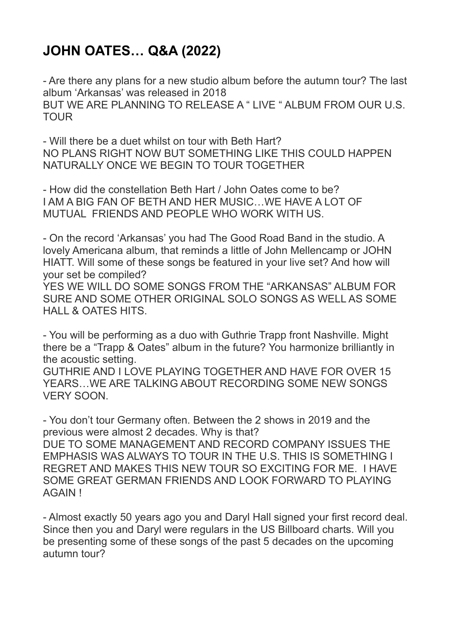## **JOHN OATES… Q&A (2022)**

- Are there any plans for a new studio album before the autumn tour? The last album 'Arkansas' was released in 2018 BUT WE ARE PLANNING TO RELEASE A " LIVE " ALBUM FROM OUR U.S. TOUR

- Will there be a duet whilst on tour with Beth Hart? NO PLANS RIGHT NOW BUT SOMETHING LIKE THIS COULD HAPPEN NATURALLY ONCE WE BEGIN TO TOUR TOGETHER

- How did the constellation Beth Hart / John Oates come to be? I AM A BIG FAN OF BETH AND HER MUSIC…WE HAVE A LOT OF MUTUAL FRIENDS AND PEOPLE WHO WORK WITH US.

- On the record 'Arkansas' you had The Good Road Band in the studio. A lovely Americana album, that reminds a little of John Mellencamp or JOHN HIATT. Will some of these songs be featured in your live set? And how will your set be compiled?

YES WE WILL DO SOME SONGS FROM THE "ARKANSAS" ALBUM FOR SURE AND SOME OTHER ORIGINAL SOLO SONGS AS WELL AS SOME HALL & OATES HITS.

- You will be performing as a duo with Guthrie Trapp front Nashville. Might there be a "Trapp & Oates" album in the future? You harmonize brilliantly in the acoustic setting.

GUTHRIE AND I LOVE PLAYING TOGETHER AND HAVE FOR OVER 15 YEARS…WE ARE TALKING ABOUT RECORDING SOME NEW SONGS VERY SOON.

- You don't tour Germany often. Between the 2 shows in 2019 and the previous were almost 2 decades. Why is that? DUE TO SOME MANAGEMENT AND RECORD COMPANY ISSUES THE EMPHASIS WAS ALWAYS TO TOUR IN THE U.S. THIS IS SOMETHING I REGRET AND MAKES THIS NEW TOUR SO EXCITING FOR ME. I HAVE SOME GREAT GERMAN FRIENDS AND LOOK FORWARD TO PLAYING AGAIN !

- Almost exactly 50 years ago you and Daryl Hall signed your first record deal. Since then you and Daryl were regulars in the US Billboard charts. Will you be presenting some of these songs of the past 5 decades on the upcoming autumn tour?